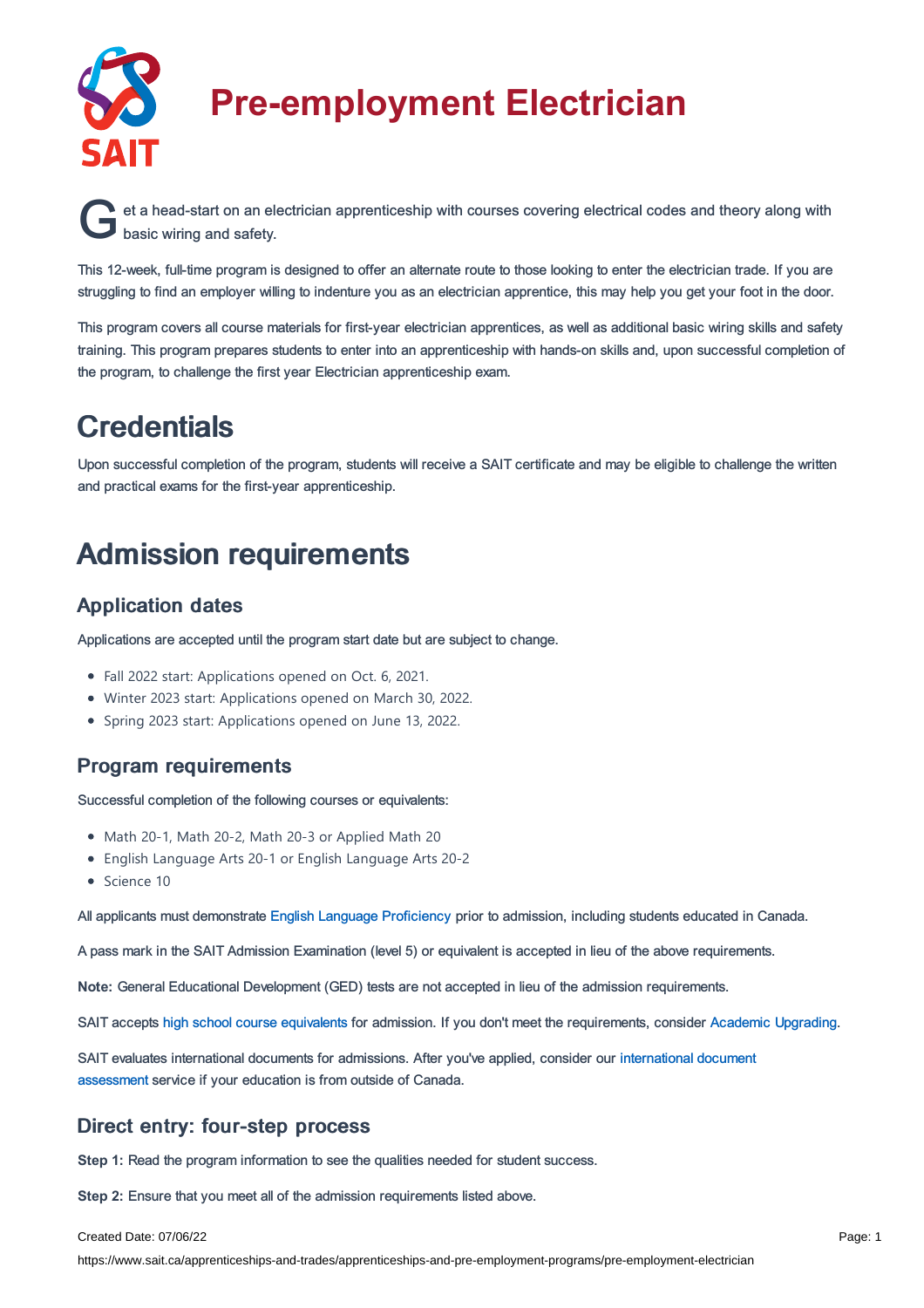

# **Pre-employment Electrician**

et a head-start on an electrician apprenticeship with courses covering electrical codes and theory along with basic wiring and safety. basic wiring and safety.

This 12-week, full-time program is designed to offer an alternate route to those looking to enter the electrician trade. If you are struggling to find an employer willing to indenture you as an electrician apprentice, this may help you get your foot in the door.

This program covers all course materials for first-year electrician apprentices, as well as additional basic wiring skills and safety training. This program prepares students to enter into an apprenticeship with hands-on skills and, upon successful completion of the program, to challenge the first year Electrician apprenticeship exam.

### **Credentials**

Upon successful completion of the program, students will receive a SAIT certificate and may be eligible to challenge the written and practical exams for the first-year apprenticeship.

## Admission requirements

### Application dates

Applications are accepted until the program start date but are subject to change.

- Fall 2022 start: Applications opened on Oct. 6, 2021.
- Winter 2023 start: Applications opened on March 30, 2022.
- Spring 2023 start: Applications opened on June 13, 2022.

### Program requirements

Successful completion of the following courses or equivalents:

- Math 20-1, Math 20-2, Math 20-3 or Applied Math 20
- English Language Arts 20-1 or English Language Arts 20-2
- Science 10

All applicants must demonstrate English Language [Proficiency](https://www.sait.ca/admissions/before-you-apply/english-proficiency) prior to admission, including students educated in Canada.

A pass mark in the SAIT Admission Examination (level 5) or equivalent is accepted in lieu of the above requirements.

**Note:** General Educational Development (GED) tests are not accepted in lieu of the admission requirements.

SAIT accepts high school course [equivalents](https://www.sait.ca/admissions/before-you-apply/high-school-course-equivalencies) for admission. If you don't meet the requirements, consider Academic [Upgrading.](https://www.sait.ca/programs-and-courses/academic-upgrading)

SAIT evaluates [international](https://www.sait.ca/admissions/after-you-apply/international-document-assessment) documents for admissions. After you've applied, consider our international document assessment service if your education is from outside of Canada.

### Direct entry: four-step process

**Step 1:** Read the program information to see the qualities needed for student success.

**Step 2:** Ensure that you meet all of the admission requirements listed above.

#### Created Date: 07/06/22

https://www.sait.ca/apprenticeships-and-trades/apprenticeships-and-pre-employment-programs/pre-employment-electrician